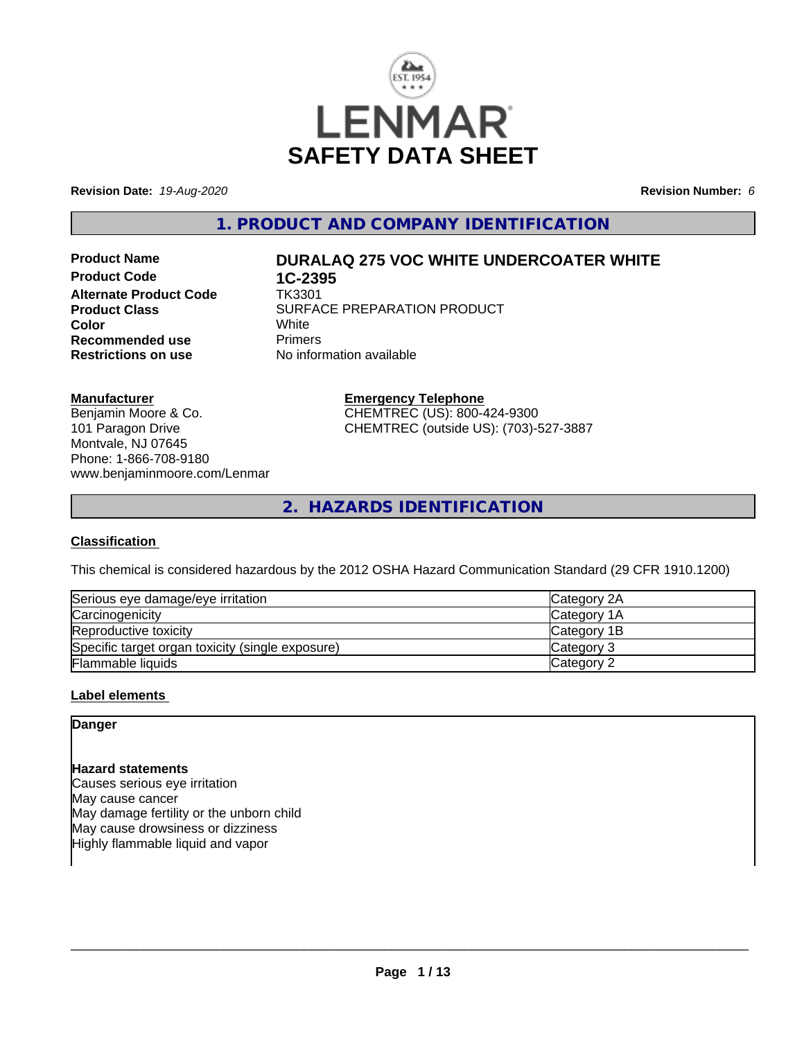

**Revision Date:** *19-Aug-2020* **Revision Number:** *6*

**1. PRODUCT AND COMPANY IDENTIFICATION**

**Product Code 1C-2395**<br>**Alternate Product Code 1K3301 Alternate Product Code Recommended use The Primers<br>
<b>Restrictions on use** No inform

# **Product Name DURALAQ 275 VOC WHITE UNDERCOATER WHITE**

**Product Class** SURFACE PREPARATION PRODUCT<br>
Color **Color** White White **No information available** 

### **Manufacturer**

Benjamin Moore & Co. 101 Paragon Drive Montvale, NJ 07645 Phone: 1-866-708-9180 www.benjaminmoore.com/Lenmar

# **Emergency Telephone** CHEMTREC (US): 800-424-9300

CHEMTREC (outside US): (703)-527-3887

**2. HAZARDS IDENTIFICATION**

# **Classification**

This chemical is considered hazardous by the 2012 OSHA Hazard Communication Standard (29 CFR 1910.1200)

| Serious eye damage/eye irritation                | <b>ICategory 2A</b> |
|--------------------------------------------------|---------------------|
| Carcinogenicity                                  | Category 1A         |
| Reproductive toxicity                            | Category 1B         |
| Specific target organ toxicity (single exposure) | Category 3          |
| Flammable liquids                                | Category 2          |

### **Label elements**

# **Danger**

# **Hazard statements**

Causes serious eye irritation May cause cancer May damage fertility or the unborn child May cause drowsiness or dizziness Highly flammable liquid and vapor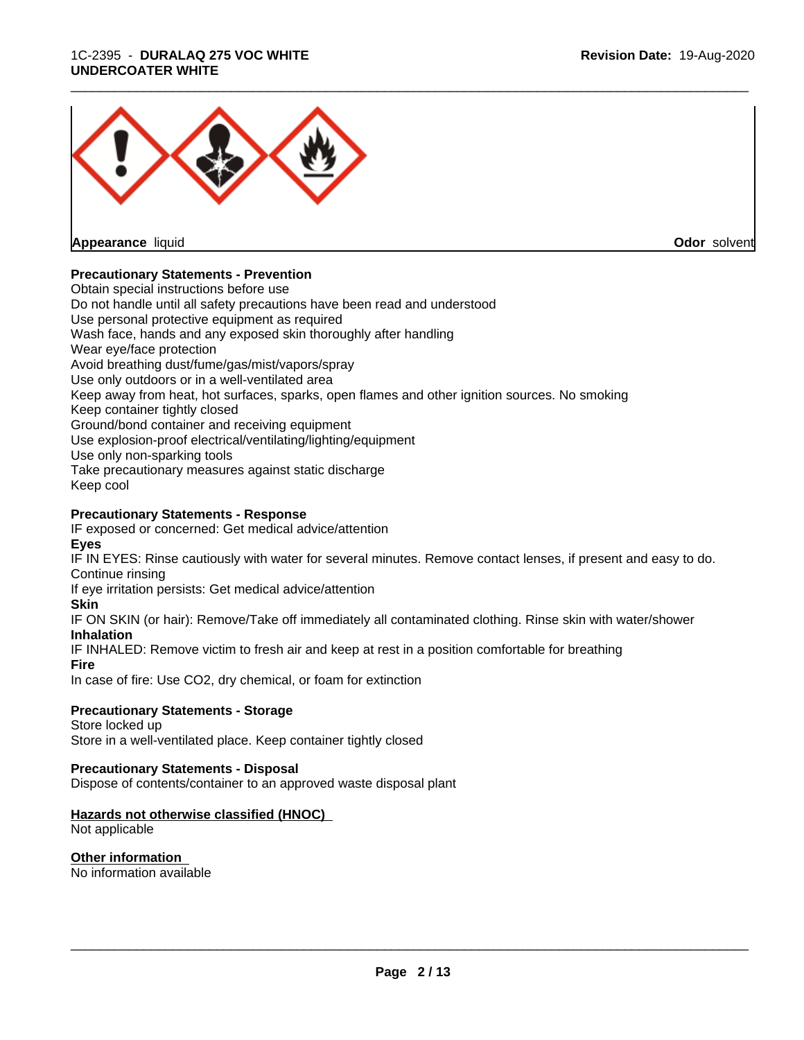### 1C-2395 - **DURALAQ 275 VOC WHITE UNDERCOATER WHITE**



**Appearance** liquid

**Odor** solvent

# **Precautionary Statements - Prevention**

Obtain special instructions before use Do not handle until all safety precautions have been read and understood Use personal protective equipment as required Wash face, hands and any exposed skin thoroughly after handling Wear eye/face protection Avoid breathing dust/fume/gas/mist/vapors/spray Use only outdoors or in a well-ventilated area Keep away from heat, hot surfaces, sparks, open flames and other ignition sources. No smoking Keep container tightly closed Ground/bond container and receiving equipment Use explosion-proof electrical/ventilating/lighting/equipment Use only non-sparking tools Take precautionary measures against static discharge Keep cool

# **Precautionary Statements - Response**

IF exposed or concerned: Get medical advice/attention **Eyes**

IF IN EYES: Rinse cautiously with water for several minutes. Remove contact lenses, if present and easy to do. Continue rinsing

If eye irritation persists: Get medical advice/attention

### **Skin**

IF ON SKIN (or hair): Remove/Take off immediately all contaminated clothing. Rinse skin with water/shower **Inhalation**

IF INHALED: Remove victim to fresh air and keep at rest in a position comfortable for breathing

**Fire**

In case of fire: Use CO2, dry chemical, or foam for extinction

# **Precautionary Statements - Storage**

Store locked up Store in a well-ventilated place. Keep container tightly closed

# **Precautionary Statements - Disposal**

Dispose of contents/container to an approved waste disposal plant

# **Hazards not otherwise classified (HNOC)**

Not applicable

# **Other information**

No information available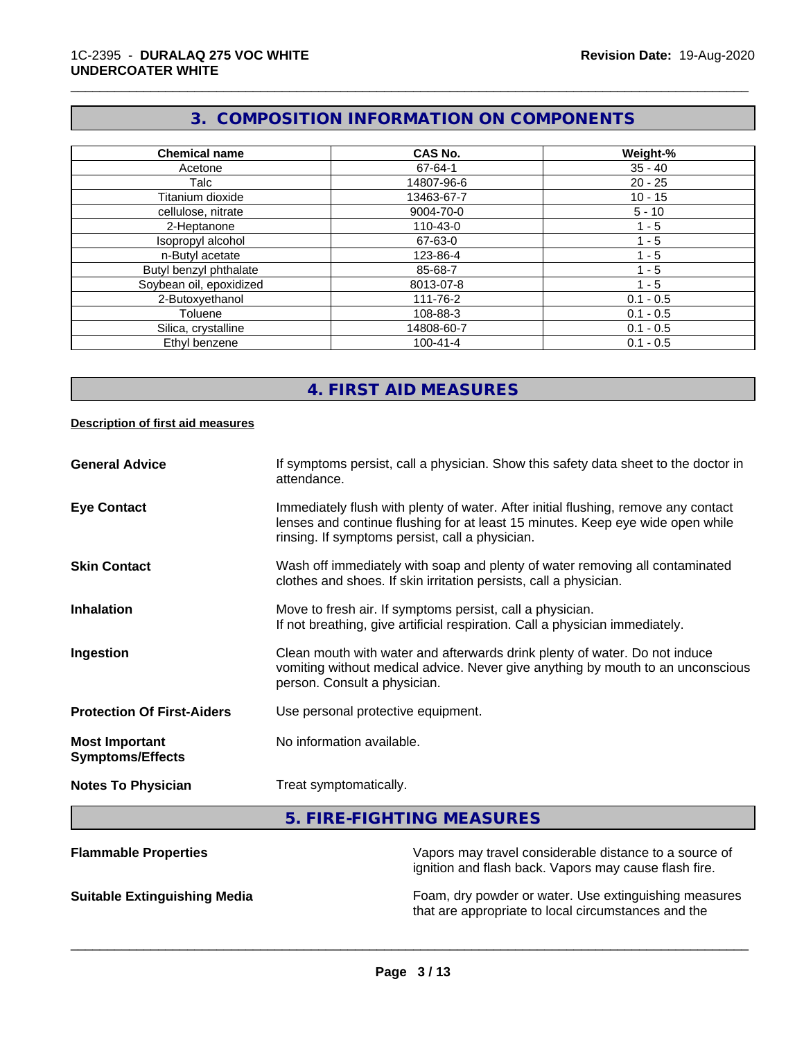# **3. COMPOSITION INFORMATION ON COMPONENTS**

\_\_\_\_\_\_\_\_\_\_\_\_\_\_\_\_\_\_\_\_\_\_\_\_\_\_\_\_\_\_\_\_\_\_\_\_\_\_\_\_\_\_\_\_\_\_\_\_\_\_\_\_\_\_\_\_\_\_\_\_\_\_\_\_\_\_\_\_\_\_\_\_\_\_\_\_\_\_\_\_\_\_\_\_\_\_\_\_\_\_\_\_\_

| <b>Chemical name</b>    | CAS No.        | Weight-%    |
|-------------------------|----------------|-------------|
| Acetone                 | 67-64-1        | $35 - 40$   |
| Talc                    | 14807-96-6     | $20 - 25$   |
| Titanium dioxide        | 13463-67-7     | $10 - 15$   |
| cellulose, nitrate      | 9004-70-0      | $5 - 10$    |
| 2-Heptanone             | 110-43-0       | 1 - 5       |
| Isopropyl alcohol       | 67-63-0        | 1 - 5       |
| n-Butyl acetate         | 123-86-4       | 1 - 5       |
| Butyl benzyl phthalate  | 85-68-7        | $1 - 5$     |
| Soybean oil, epoxidized | 8013-07-8      | $1 - 5$     |
| 2-Butoxyethanol         | 111-76-2       | $0.1 - 0.5$ |
| Toluene                 | 108-88-3       | $0.1 - 0.5$ |
| Silica, crystalline     | 14808-60-7     | $0.1 - 0.5$ |
| Ethyl benzene           | $100 - 41 - 4$ | $0.1 - 0.5$ |

# **4. FIRST AID MEASURES**

### **Description of first aid measures**

| <b>General Advice</b>                            | If symptoms persist, call a physician. Show this safety data sheet to the doctor in<br>attendance.                                                                                                                      |
|--------------------------------------------------|-------------------------------------------------------------------------------------------------------------------------------------------------------------------------------------------------------------------------|
| <b>Eye Contact</b>                               | Immediately flush with plenty of water. After initial flushing, remove any contact<br>lenses and continue flushing for at least 15 minutes. Keep eye wide open while<br>rinsing. If symptoms persist, call a physician. |
| <b>Skin Contact</b>                              | Wash off immediately with soap and plenty of water removing all contaminated<br>clothes and shoes. If skin irritation persists, call a physician.                                                                       |
| <b>Inhalation</b>                                | Move to fresh air. If symptoms persist, call a physician.<br>If not breathing, give artificial respiration. Call a physician immediately.                                                                               |
| Ingestion                                        | Clean mouth with water and afterwards drink plenty of water. Do not induce<br>vomiting without medical advice. Never give anything by mouth to an unconscious<br>person. Consult a physician.                           |
| <b>Protection Of First-Aiders</b>                | Use personal protective equipment.                                                                                                                                                                                      |
| <b>Most Important</b><br><b>Symptoms/Effects</b> | No information available.                                                                                                                                                                                               |
| <b>Notes To Physician</b>                        | Treat symptomatically.                                                                                                                                                                                                  |
|                                                  | 5. FIRE-FIGHTING MEASURES                                                                                                                                                                                               |
| <b>Flammable Properties</b>                      | Vapors may travel considerable distance to a source of<br>ignition and flash back. Vapors may cause flash fire                                                                                                          |

ignition and flash back. Vapors may cause flash fire.

**Suitable Extinguishing Media** Foam, dry powder or water. Use extinguishing measures that are appropriate to local circumstances and the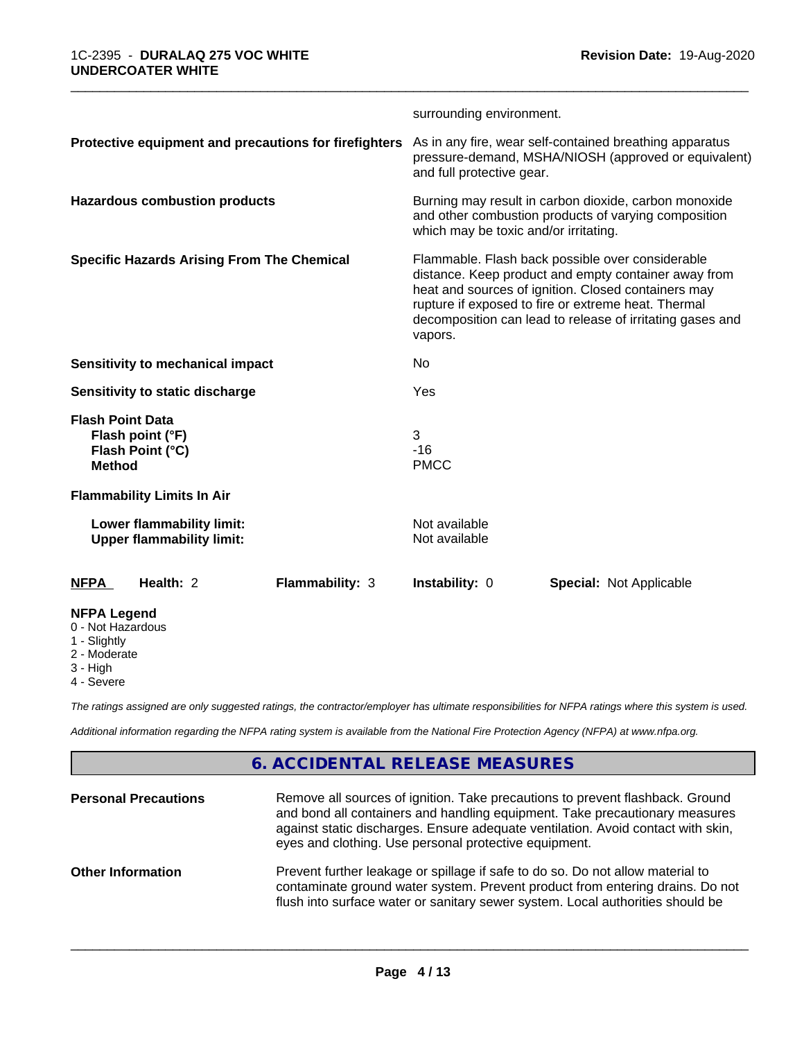|                                                                                  | surrounding environment.                                                                                                                                                                                                                                                                       |  |
|----------------------------------------------------------------------------------|------------------------------------------------------------------------------------------------------------------------------------------------------------------------------------------------------------------------------------------------------------------------------------------------|--|
| Protective equipment and precautions for firefighters                            | As in any fire, wear self-contained breathing apparatus<br>pressure-demand, MSHA/NIOSH (approved or equivalent)<br>and full protective gear.                                                                                                                                                   |  |
| <b>Hazardous combustion products</b>                                             | Burning may result in carbon dioxide, carbon monoxide<br>and other combustion products of varying composition<br>which may be toxic and/or irritating.                                                                                                                                         |  |
| <b>Specific Hazards Arising From The Chemical</b>                                | Flammable. Flash back possible over considerable<br>distance. Keep product and empty container away from<br>heat and sources of ignition. Closed containers may<br>rupture if exposed to fire or extreme heat. Thermal<br>decomposition can lead to release of irritating gases and<br>vapors. |  |
| Sensitivity to mechanical impact                                                 | No.                                                                                                                                                                                                                                                                                            |  |
| Sensitivity to static discharge                                                  | Yes                                                                                                                                                                                                                                                                                            |  |
| <b>Flash Point Data</b><br>Flash point (°F)<br>Flash Point (°C)<br><b>Method</b> | 3<br>$-16$<br><b>PMCC</b>                                                                                                                                                                                                                                                                      |  |
| <b>Flammability Limits In Air</b>                                                |                                                                                                                                                                                                                                                                                                |  |
| Lower flammability limit:<br><b>Upper flammability limit:</b>                    | Not available<br>Not available                                                                                                                                                                                                                                                                 |  |
| Health: 2<br>Flammability: 3<br><b>NFPA</b>                                      | Instability: 0<br><b>Special: Not Applicable</b>                                                                                                                                                                                                                                               |  |
| <b>NFPA Legend</b><br>0 - Not Hazardous<br>1 - Slightly                          |                                                                                                                                                                                                                                                                                                |  |

2 - Moderate

- 3 High
- 4 Severe

*The ratings assigned are only suggested ratings, the contractor/employer has ultimate responsibilities for NFPA ratings where this system is used.*

*Additional information regarding the NFPA rating system is available from the National Fire Protection Agency (NFPA) at www.nfpa.org.*

# **6. ACCIDENTAL RELEASE MEASURES**

| <b>Personal Precautions</b> | Remove all sources of ignition. Take precautions to prevent flashback. Ground<br>and bond all containers and handling equipment. Take precautionary measures<br>against static discharges. Ensure adequate ventilation. Avoid contact with skin,<br>eyes and clothing. Use personal protective equipment. |
|-----------------------------|-----------------------------------------------------------------------------------------------------------------------------------------------------------------------------------------------------------------------------------------------------------------------------------------------------------|
| <b>Other Information</b>    | Prevent further leakage or spillage if safe to do so. Do not allow material to<br>contaminate ground water system. Prevent product from entering drains. Do not<br>flush into surface water or sanitary sewer system. Local authorities should be                                                         |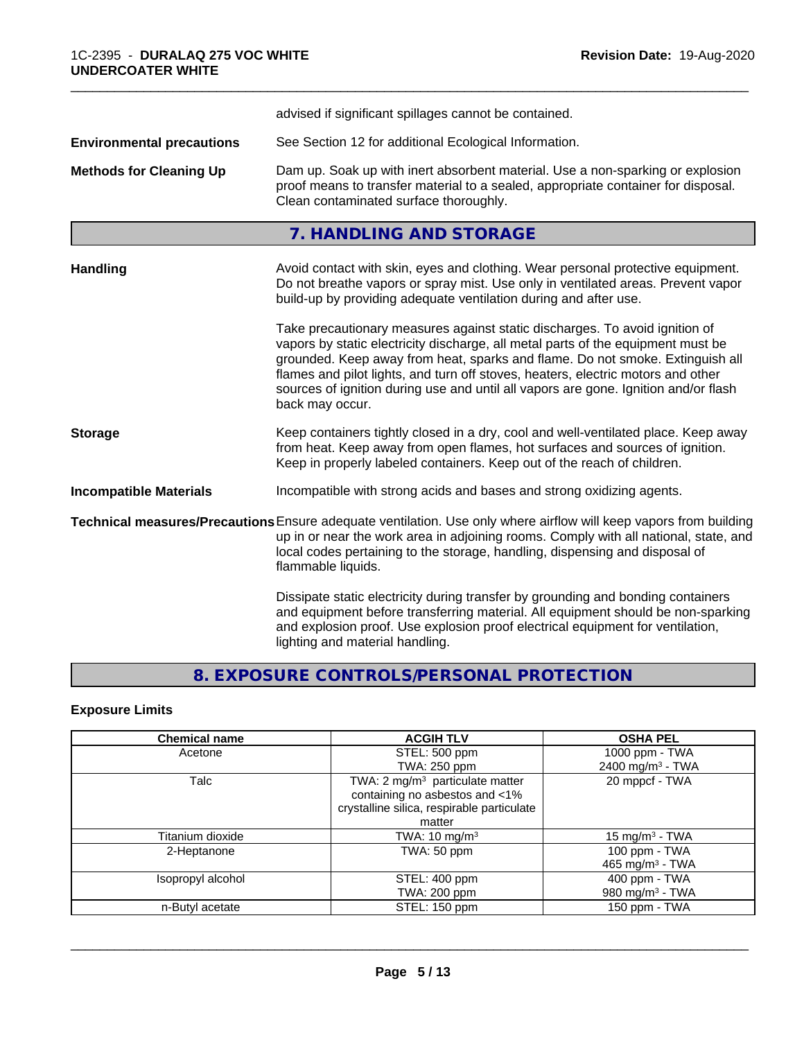|                                  | advised if significant spillages cannot be contained.                                                                                                                                                                                                                                                                                                                                                                                          |
|----------------------------------|------------------------------------------------------------------------------------------------------------------------------------------------------------------------------------------------------------------------------------------------------------------------------------------------------------------------------------------------------------------------------------------------------------------------------------------------|
| <b>Environmental precautions</b> | See Section 12 for additional Ecological Information.                                                                                                                                                                                                                                                                                                                                                                                          |
| <b>Methods for Cleaning Up</b>   | Dam up. Soak up with inert absorbent material. Use a non-sparking or explosion<br>proof means to transfer material to a sealed, appropriate container for disposal.<br>Clean contaminated surface thoroughly.                                                                                                                                                                                                                                  |
|                                  | 7. HANDLING AND STORAGE                                                                                                                                                                                                                                                                                                                                                                                                                        |
| <b>Handling</b>                  | Avoid contact with skin, eyes and clothing. Wear personal protective equipment.<br>Do not breathe vapors or spray mist. Use only in ventilated areas. Prevent vapor<br>build-up by providing adequate ventilation during and after use.                                                                                                                                                                                                        |
|                                  | Take precautionary measures against static discharges. To avoid ignition of<br>vapors by static electricity discharge, all metal parts of the equipment must be<br>grounded. Keep away from heat, sparks and flame. Do not smoke. Extinguish all<br>flames and pilot lights, and turn off stoves, heaters, electric motors and other<br>sources of ignition during use and until all vapors are gone. Ignition and/or flash<br>back may occur. |
| <b>Storage</b>                   | Keep containers tightly closed in a dry, cool and well-ventilated place. Keep away<br>from heat. Keep away from open flames, hot surfaces and sources of ignition.<br>Keep in properly labeled containers. Keep out of the reach of children.                                                                                                                                                                                                  |
| <b>Incompatible Materials</b>    | Incompatible with strong acids and bases and strong oxidizing agents.                                                                                                                                                                                                                                                                                                                                                                          |
|                                  | Technical measures/Precautions Ensure adequate ventilation. Use only where airflow will keep vapors from building<br>up in or near the work area in adjoining rooms. Comply with all national, state, and<br>local codes pertaining to the storage, handling, dispensing and disposal of<br>flammable liquids.                                                                                                                                 |
|                                  | Dissipate static electricity during transfer by grounding and bonding containers<br>and equipment before transferring material. All equipment should be non-sparking<br>and explosion proof. Use explosion proof electrical equipment for ventilation,<br>lighting and material handling.                                                                                                                                                      |

# **8. EXPOSURE CONTROLS/PERSONAL PROTECTION**

# **Exposure Limits**

| <b>Chemical name</b> | <b>ACGIH TLV</b>                            | <b>OSHA PEL</b>              |
|----------------------|---------------------------------------------|------------------------------|
| Acetone              | STEL: 500 ppm                               | 1000 ppm - TWA               |
|                      | TWA: 250 ppm                                | 2400 mg/m <sup>3</sup> - TWA |
| Talc                 | TWA: 2 mg/m <sup>3</sup> particulate matter | 20 mppcf - TWA               |
|                      | containing no asbestos and <1%              |                              |
|                      | crystalline silica, respirable particulate  |                              |
|                      | matter                                      |                              |
| Titanium dioxide     | TWA: $10 \text{ mg/m}^3$                    | 15 mg/m $3$ - TWA            |
| 2-Heptanone          | TWA: 50 ppm                                 | 100 ppm - $TWA$              |
|                      |                                             | 465 mg/m $3$ - TWA           |
| Isopropyl alcohol    | STEL: 400 ppm                               | 400 ppm - TWA                |
|                      | TWA: 200 ppm                                | 980 mg/m <sup>3</sup> - TWA  |
| n-Butyl acetate      | STEL: 150 ppm                               | 150 ppm - TWA                |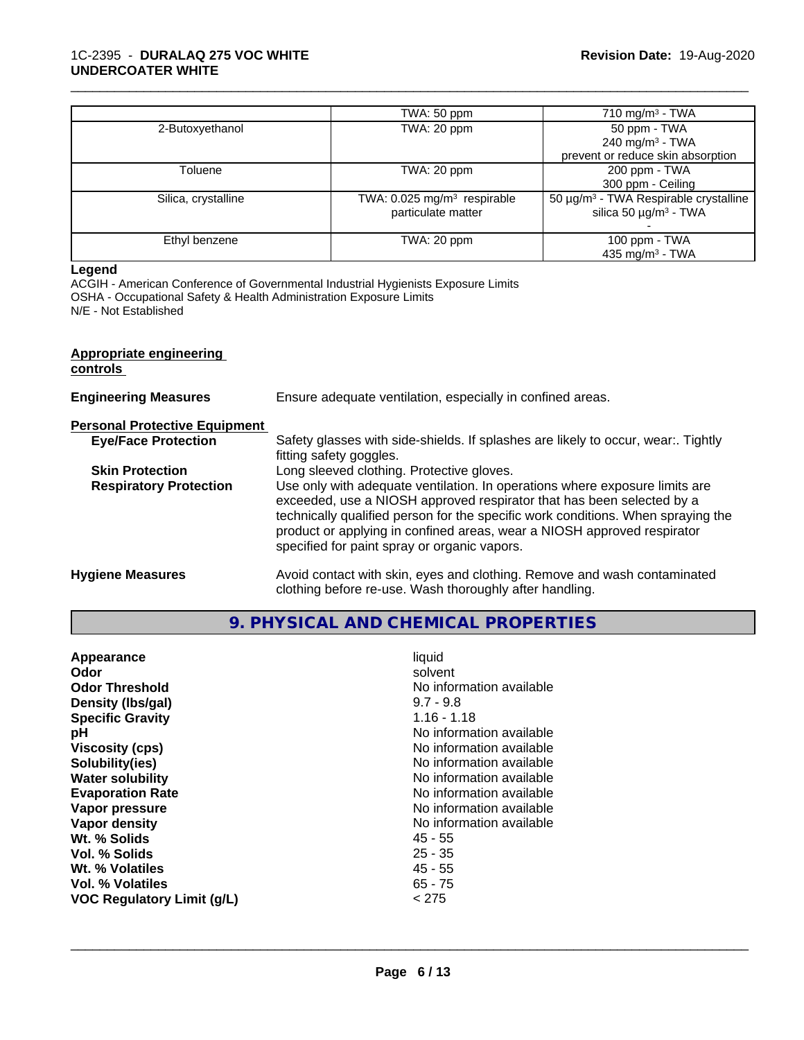|                     | TWA: 50 ppm                             | $710 \text{ mg/m}^3$ - TWA                             |
|---------------------|-----------------------------------------|--------------------------------------------------------|
| 2-Butoxyethanol     | TWA: 20 ppm                             | 50 ppm - TWA                                           |
|                     |                                         | 240 mg/m <sup>3</sup> - TWA                            |
|                     |                                         | prevent or reduce skin absorption                      |
| Toluene             | TWA: 20 ppm                             | 200 ppm - TWA                                          |
|                     |                                         | 300 ppm - Ceiling                                      |
| Silica, crystalline | TWA: 0.025 mg/m <sup>3</sup> respirable | 50 $\mu$ g/m <sup>3</sup> - TWA Respirable crystalline |
|                     | particulate matter                      | silica 50 $\mu$ g/m <sup>3</sup> - TWA                 |
|                     |                                         |                                                        |
| Ethyl benzene       | TWA: 20 ppm                             | 100 ppm - TWA                                          |
|                     |                                         | 435 mg/m <sup>3</sup> - TWA                            |

### **Legend**

ACGIH - American Conference of Governmental Industrial Hygienists Exposure Limits OSHA - Occupational Safety & Health Administration Exposure Limits N/E - Not Established

| Appropriate engineering<br>controls  |                                                                                                                                                                                                                                                                                                                                                                     |
|--------------------------------------|---------------------------------------------------------------------------------------------------------------------------------------------------------------------------------------------------------------------------------------------------------------------------------------------------------------------------------------------------------------------|
| <b>Engineering Measures</b>          | Ensure adequate ventilation, especially in confined areas.                                                                                                                                                                                                                                                                                                          |
| <b>Personal Protective Equipment</b> |                                                                                                                                                                                                                                                                                                                                                                     |
| <b>Eye/Face Protection</b>           | Safety glasses with side-shields. If splashes are likely to occur, wear:. Tightly<br>fitting safety goggles.                                                                                                                                                                                                                                                        |
| <b>Skin Protection</b>               | Long sleeved clothing. Protective gloves.                                                                                                                                                                                                                                                                                                                           |
| <b>Respiratory Protection</b>        | Use only with adequate ventilation. In operations where exposure limits are<br>exceeded, use a NIOSH approved respirator that has been selected by a<br>technically qualified person for the specific work conditions. When spraying the<br>product or applying in confined areas, wear a NIOSH approved respirator<br>specified for paint spray or organic vapors. |
| <b>Hygiene Measures</b>              | Avoid contact with skin, eyes and clothing. Remove and wash contaminated<br>clothing before re-use. Wash thoroughly after handling.                                                                                                                                                                                                                                 |

# **9. PHYSICAL AND CHEMICAL PROPERTIES**

| <b>Viscosity (cps)</b><br>No information available<br>No information available<br>Solubility(ies)<br>No information available<br><b>Water solubility</b><br>No information available<br><b>Evaporation Rate</b><br>No information available<br>Vapor pressure<br>No information available<br>Vapor density<br>Wt. % Solids<br>45 - 55<br>$25 - 35$<br>Vol. % Solids<br>$45 - 55$<br>Wt. % Volatiles<br><b>Vol. % Volatiles</b><br>$65 - 75$<br>< 275<br><b>VOC Regulatory Limit (g/L)</b> | Appearance<br>Odor<br><b>Odor Threshold</b><br>Density (Ibs/gal)<br><b>Specific Gravity</b><br>рH | liquid<br>solvent<br>No information available<br>$9.7 - 9.8$<br>$1.16 - 1.18$<br>No information available |
|-------------------------------------------------------------------------------------------------------------------------------------------------------------------------------------------------------------------------------------------------------------------------------------------------------------------------------------------------------------------------------------------------------------------------------------------------------------------------------------------|---------------------------------------------------------------------------------------------------|-----------------------------------------------------------------------------------------------------------|
|-------------------------------------------------------------------------------------------------------------------------------------------------------------------------------------------------------------------------------------------------------------------------------------------------------------------------------------------------------------------------------------------------------------------------------------------------------------------------------------------|---------------------------------------------------------------------------------------------------|-----------------------------------------------------------------------------------------------------------|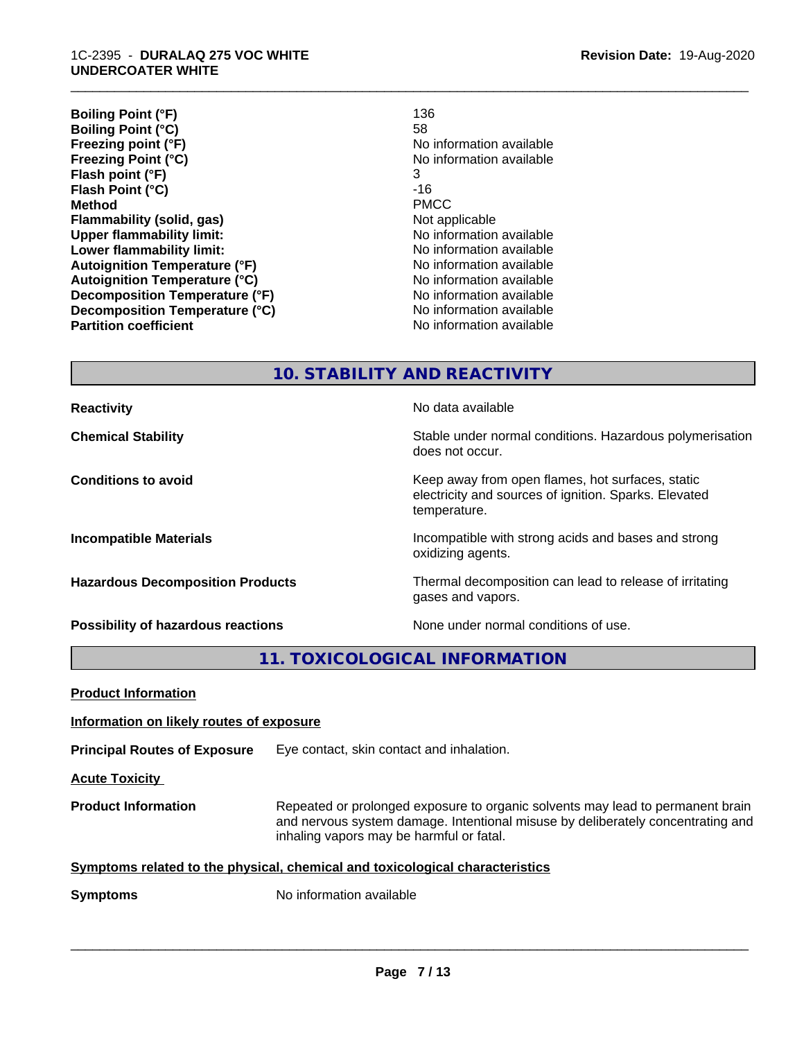**Boiling Point (°F)** 136 **Boiling Point (°C)**<br>Freezing point (°F) **Freezing Point (°C)** No information available **Flash point (°F)** 3 **Flash Point (°C) Method** PMCC **Flammability (solid, gas)**<br> **Commability limit:**<br>
Under flammability limit:<br>
Under flammability limit: **Upper flammability limit: Lower flammability limit:** No information available **Autoignition Temperature (°F)** No information available **Autoignition Temperature (°C)** No information available **Decomposition Temperature (°F)**<br> **Decomposition Temperature (°C)** No information available<br>
No information available **Decomposition Temperature (°C)**<br>Partition coefficient

**Freezing point (°F)** No information available **No information available** 

\_\_\_\_\_\_\_\_\_\_\_\_\_\_\_\_\_\_\_\_\_\_\_\_\_\_\_\_\_\_\_\_\_\_\_\_\_\_\_\_\_\_\_\_\_\_\_\_\_\_\_\_\_\_\_\_\_\_\_\_\_\_\_\_\_\_\_\_\_\_\_\_\_\_\_\_\_\_\_\_\_\_\_\_\_\_\_\_\_\_\_\_\_

**10. STABILITY AND REACTIVITY**

**Reactivity No data available No data available Chemical Stability Stability** Stable under normal conditions. Hazardous polymerisation does not occur. **Conditions to avoid EXECUTE:** The Metal Metal Metal Metal Metal Metal Metal Metal Metal Metal Metal Metal Metal Metal Metal Metal Metal Metal Metal Metal Metal Metal Metal Metal Metal Metal Metal Metal Metal Metal Metal electricity and sources of ignition. Sparks. Elevated temperature. **Incompatible Materials Incompatible with strong acids and bases and strong** oxidizing agents. **Hazardous Decomposition Products** Thermal decomposition can lead to release of irritating gases and vapors. **Possibility of hazardous reactions** None under normal conditions of use.

**11. TOXICOLOGICAL INFORMATION**

| <b>Product Information</b>                                                   |                                                                                                                                                                                                               |
|------------------------------------------------------------------------------|---------------------------------------------------------------------------------------------------------------------------------------------------------------------------------------------------------------|
| Information on likely routes of exposure                                     |                                                                                                                                                                                                               |
| <b>Principal Routes of Exposure</b>                                          | Eye contact, skin contact and inhalation.                                                                                                                                                                     |
| <b>Acute Toxicity</b>                                                        |                                                                                                                                                                                                               |
| <b>Product Information</b>                                                   | Repeated or prolonged exposure to organic solvents may lead to permanent brain<br>and nervous system damage. Intentional misuse by deliberately concentrating and<br>inhaling vapors may be harmful or fatal. |
| Symptoms related to the physical, chemical and toxicological characteristics |                                                                                                                                                                                                               |
| <b>Symptoms</b>                                                              | No information available                                                                                                                                                                                      |
|                                                                              |                                                                                                                                                                                                               |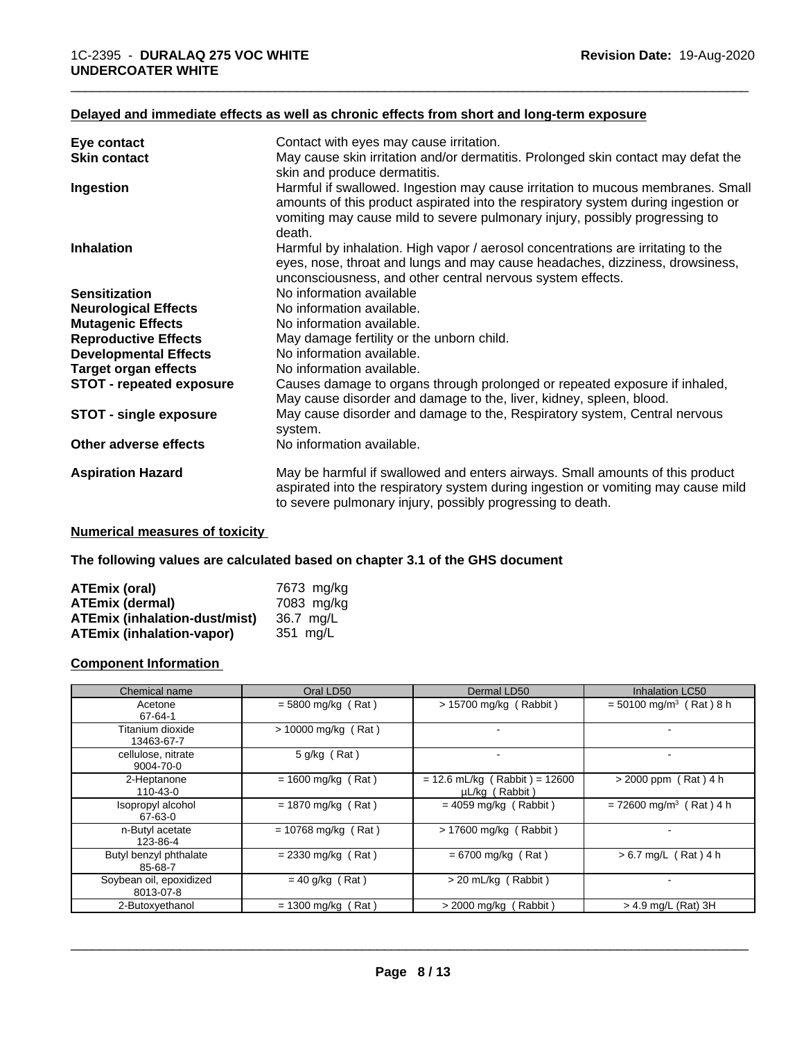# **Delayed and immediate effects as well as chronic effects from short and long-term exposure**

| Eye contact                     | Contact with eyes may cause irritation.                                                                                                                                                                                                                       |
|---------------------------------|---------------------------------------------------------------------------------------------------------------------------------------------------------------------------------------------------------------------------------------------------------------|
| <b>Skin contact</b>             | May cause skin irritation and/or dermatitis. Prolonged skin contact may defat the<br>skin and produce dermatitis.                                                                                                                                             |
| Ingestion                       | Harmful if swallowed. Ingestion may cause irritation to mucous membranes. Small<br>amounts of this product aspirated into the respiratory system during ingestion or<br>vomiting may cause mild to severe pulmonary injury, possibly progressing to<br>death. |
| <b>Inhalation</b>               | Harmful by inhalation. High vapor / aerosol concentrations are irritating to the<br>eyes, nose, throat and lungs and may cause headaches, dizziness, drowsiness,<br>unconsciousness, and other central nervous system effects.                                |
| <b>Sensitization</b>            | No information available                                                                                                                                                                                                                                      |
| <b>Neurological Effects</b>     | No information available.                                                                                                                                                                                                                                     |
| <b>Mutagenic Effects</b>        | No information available.                                                                                                                                                                                                                                     |
| <b>Reproductive Effects</b>     | May damage fertility or the unborn child.                                                                                                                                                                                                                     |
| <b>Developmental Effects</b>    | No information available.                                                                                                                                                                                                                                     |
| <b>Target organ effects</b>     | No information available.                                                                                                                                                                                                                                     |
| <b>STOT - repeated exposure</b> | Causes damage to organs through prolonged or repeated exposure if inhaled,<br>May cause disorder and damage to the, liver, kidney, spleen, blood.                                                                                                             |
| <b>STOT - single exposure</b>   | May cause disorder and damage to the, Respiratory system, Central nervous<br>system.                                                                                                                                                                          |
| Other adverse effects           | No information available.                                                                                                                                                                                                                                     |
| <b>Aspiration Hazard</b>        | May be harmful if swallowed and enters airways. Small amounts of this product<br>aspirated into the respiratory system during ingestion or vomiting may cause mild<br>to severe pulmonary injury, possibly progressing to death.                              |

\_\_\_\_\_\_\_\_\_\_\_\_\_\_\_\_\_\_\_\_\_\_\_\_\_\_\_\_\_\_\_\_\_\_\_\_\_\_\_\_\_\_\_\_\_\_\_\_\_\_\_\_\_\_\_\_\_\_\_\_\_\_\_\_\_\_\_\_\_\_\_\_\_\_\_\_\_\_\_\_\_\_\_\_\_\_\_\_\_\_\_\_\_

### **Numerical measures of toxicity**

**The following values are calculated based on chapter 3.1 of the GHS document**

| ATEmix (oral)                        | 7673 mg/kg |
|--------------------------------------|------------|
| <b>ATEmix (dermal)</b>               | 7083 ma/ka |
| <b>ATEmix (inhalation-dust/mist)</b> | 36.7 mg/L  |
| <b>ATEmix (inhalation-vapor)</b>     | 351 mg/L   |

### **Component Information**

| Chemical name                        | Oral LD50             | Dermal LD50                                       | Inhalation LC50                       |
|--------------------------------------|-----------------------|---------------------------------------------------|---------------------------------------|
| Acetone<br>67-64-1                   | $= 5800$ mg/kg (Rat)  | > 15700 mg/kg (Rabbit)                            | $= 50100$ mg/m <sup>3</sup> (Rat) 8 h |
| Titanium dioxide<br>13463-67-7       | $> 10000$ mg/kg (Rat) | $\overline{\phantom{0}}$                          |                                       |
| cellulose, nitrate<br>9004-70-0      | $5$ g/kg (Rat)        |                                                   |                                       |
| 2-Heptanone<br>110-43-0              | $= 1600$ mg/kg (Rat)  | $= 12.6$ mL/kg (Rabbit) = 12600<br>µL/kg (Rabbit) | $> 2000$ ppm (Rat) 4 h                |
| Isopropyl alcohol<br>67-63-0         | $= 1870$ mg/kg (Rat)  | $= 4059$ mg/kg (Rabbit)                           | $= 72600$ mg/m <sup>3</sup> (Rat) 4 h |
| n-Butyl acetate<br>123-86-4          | $= 10768$ mg/kg (Rat) | $> 17600$ mg/kg (Rabbit)                          |                                       |
| Butyl benzyl phthalate<br>85-68-7    | $= 2330$ mg/kg (Rat)  | $= 6700$ mg/kg (Rat)                              | $> 6.7$ mg/L (Rat) 4 h                |
| Soybean oil, epoxidized<br>8013-07-8 | $= 40$ g/kg (Rat)     | > 20 mL/kg (Rabbit)                               |                                       |
| 2-Butoxyethanol                      | $= 1300$ mg/kg (Rat)  | $>$ 2000 mg/kg (Rabbit)                           | > 4.9 mg/L (Rat) 3H                   |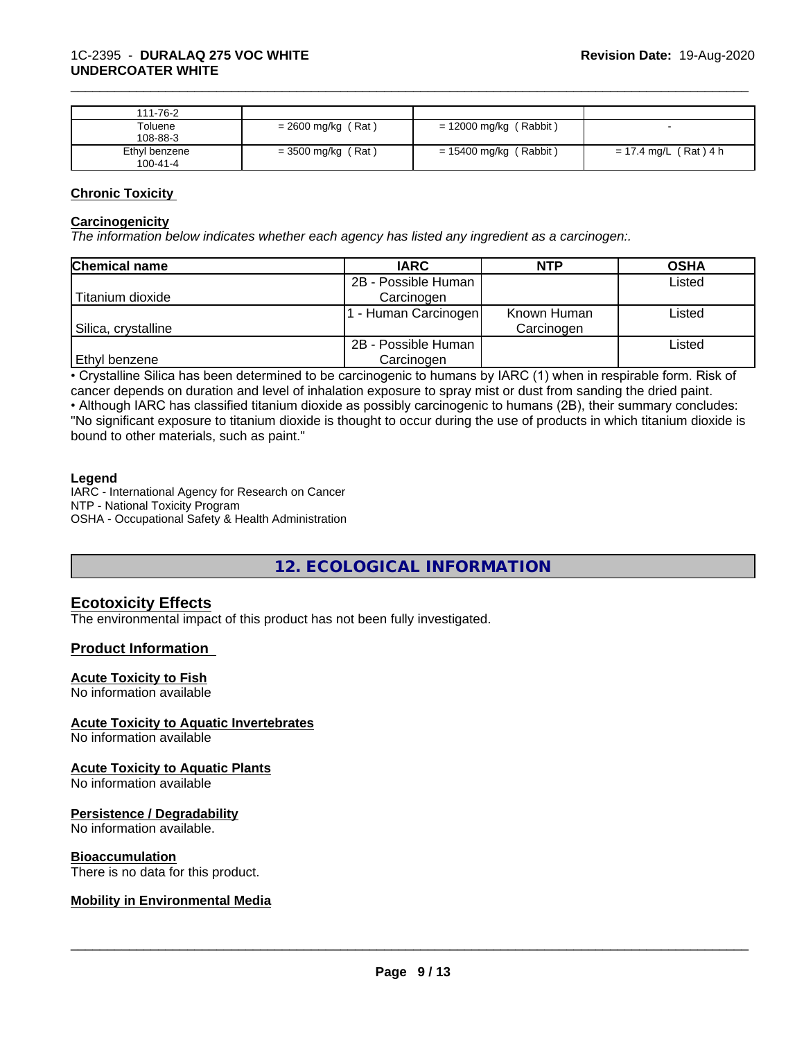| 111-76-2       |                      |                        |                       |
|----------------|----------------------|------------------------|-----------------------|
| Toluene        | $= 2600$ mg/kg (Rat) | = 12000 mg/kg (Rabbit) |                       |
| 108-88-3       |                      |                        |                       |
| Ethyl benzene  | $=$ 3500 mg/kg (Rat) | = 15400 mg/kg (Rabbit) | = 17.4 mg/L (Rat) 4 h |
| $100 - 41 - 4$ |                      |                        |                       |

### **Chronic Toxicity**

#### **Carcinogenicity**

*The information below indicateswhether each agency has listed any ingredient as a carcinogen:.*

| <b>Chemical name</b> | <b>IARC</b>         | <b>NTP</b>  | <b>OSHA</b> |
|----------------------|---------------------|-------------|-------------|
|                      | 2B - Possible Human |             | Listed      |
| Titanium dioxide     | Carcinogen          |             |             |
|                      | - Human Carcinogen  | Known Human | Listed      |
| Silica, crystalline  |                     | Carcinogen  |             |
|                      | 2B - Possible Human |             | Listed      |
| <b>Ethyl benzene</b> | Carcinogen          |             |             |

• Crystalline Silica has been determined to be carcinogenic to humans by IARC (1) when in respirable form. Risk of cancer depends on duration and level of inhalation exposure to spray mist or dust from sanding the dried paint.

• Although IARC has classified titanium dioxide as possibly carcinogenic to humans (2B), their summary concludes: "No significant exposure to titanium dioxide is thought to occur during the use of products in which titanium dioxide is bound to other materials, such as paint."

#### **Legend**

IARC - International Agency for Research on Cancer NTP - National Toxicity Program OSHA - Occupational Safety & Health Administration

# **12. ECOLOGICAL INFORMATION**

### **Ecotoxicity Effects**

The environmental impact of this product has not been fully investigated.

### **Product Information**

#### **Acute Toxicity to Fish**

No information available

### **Acute Toxicity to Aquatic Invertebrates**

No information available

#### **Acute Toxicity to Aquatic Plants**

No information available

#### **Persistence / Degradability**

No information available.

#### **Bioaccumulation**

There is no data for this product.

### **Mobility in Environmental Media**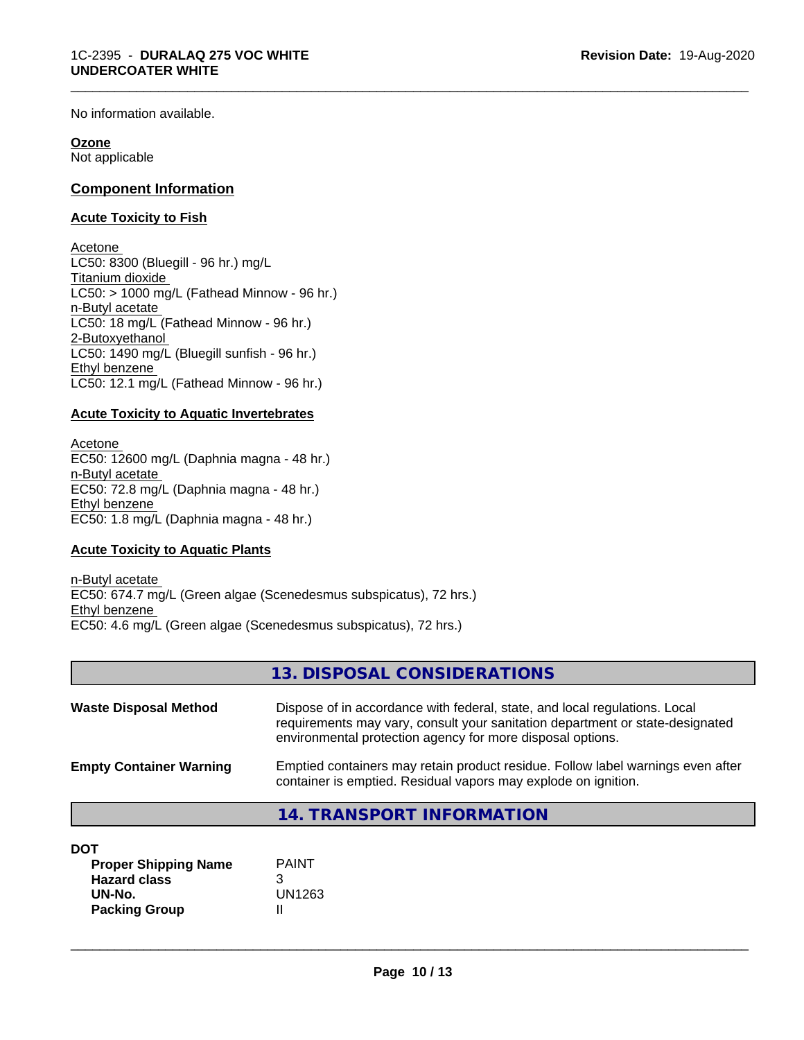No information available.

### **Ozone**

Not applicable

# **Component Information**

### **Acute Toxicity to Fish**

Acetone LC50: 8300 (Bluegill - 96 hr.) mg/L Titanium dioxide  $LC50:$  > 1000 mg/L (Fathead Minnow - 96 hr.) n-Butyl acetate LC50: 18 mg/L (Fathead Minnow - 96 hr.) 2-Butoxyethanol  $LC50: 1490$  mg/L (Bluegill sunfish - 96 hr.) Ethyl benzene LC50: 12.1 mg/L (Fathead Minnow - 96 hr.)

### **Acute Toxicity to Aquatic Invertebrates**

Acetone EC50: 12600 mg/L (Daphnia magna - 48 hr.) n-Butyl acetate EC50: 72.8 mg/L (Daphnia magna - 48 hr.) Ethyl benzene EC50: 1.8 mg/L (Daphnia magna - 48 hr.)

### **Acute Toxicity to Aquatic Plants**

n-Butyl acetate EC50: 674.7 mg/L (Green algae (Scenedesmus subspicatus), 72 hrs.) Ethyl benzene EC50: 4.6 mg/L (Green algae (Scenedesmus subspicatus), 72 hrs.)

|                                | 13. DISPOSAL CONSIDERATIONS                                                                                                                                                                                               |
|--------------------------------|---------------------------------------------------------------------------------------------------------------------------------------------------------------------------------------------------------------------------|
| <b>Waste Disposal Method</b>   | Dispose of in accordance with federal, state, and local regulations. Local<br>requirements may vary, consult your sanitation department or state-designated<br>environmental protection agency for more disposal options. |
| <b>Empty Container Warning</b> | Emptied containers may retain product residue. Follow label warnings even after<br>container is emptied. Residual vapors may explode on ignition.                                                                         |
|                                | 14. TRANSPORT INFORMATION                                                                                                                                                                                                 |

| DOT |
|-----|
|-----|

| <b>Proper Shipping Name</b> | <b>PAINT</b> |
|-----------------------------|--------------|
| <b>Hazard class</b>         |              |
| UN-No.                      | UN1263       |
| <b>Packing Group</b>        |              |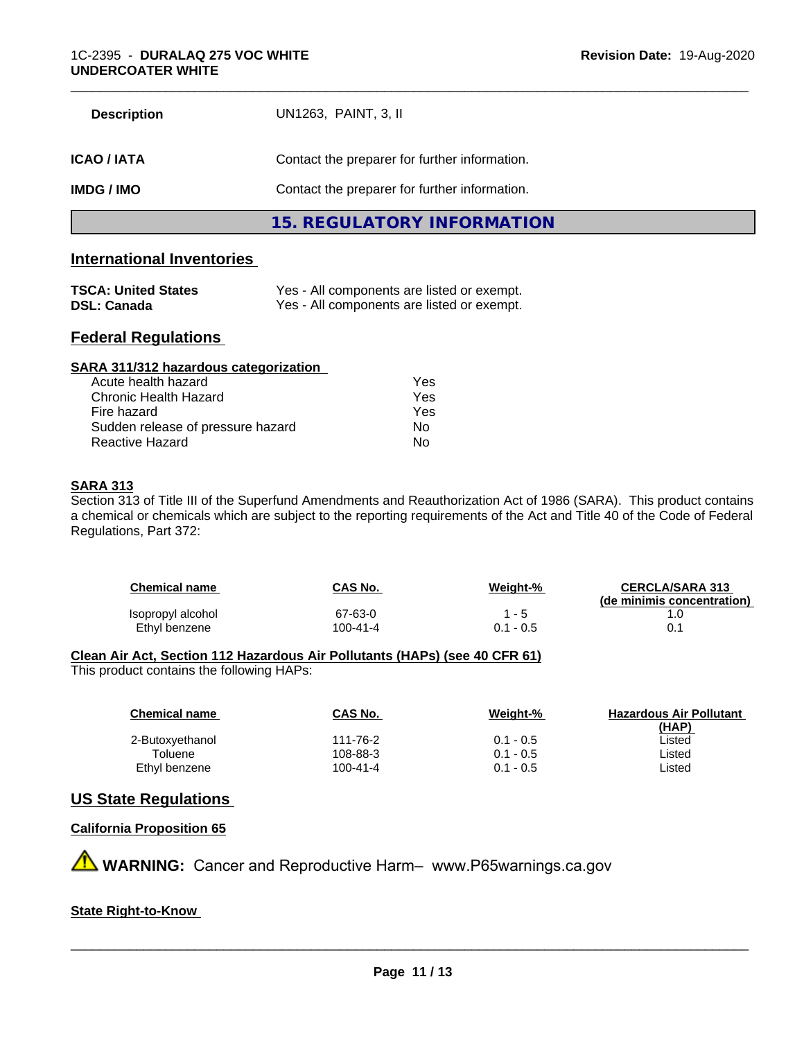| <b>Description</b> | UN1263, PAINT, 3, II                          |  |
|--------------------|-----------------------------------------------|--|
| <b>ICAO/IATA</b>   | Contact the preparer for further information. |  |
| <b>IMDG/IMO</b>    | Contact the preparer for further information. |  |
|                    | 15. REGULATORY INFORMATION                    |  |

# **International Inventories**

| <b>TSCA: United States</b> | Yes - All components are listed or exempt. |
|----------------------------|--------------------------------------------|
| <b>DSL: Canada</b>         | Yes - All components are listed or exempt. |

# **Federal Regulations**

| SARA 311/312 hazardous categorization |     |  |
|---------------------------------------|-----|--|
| Acute health hazard                   | Yes |  |
| Chronic Health Hazard                 | Yes |  |
| Fire hazard                           | Yes |  |
| Sudden release of pressure hazard     | Nο  |  |
| Reactive Hazard                       | No  |  |

# **SARA 313**

Section 313 of Title III of the Superfund Amendments and Reauthorization Act of 1986 (SARA). This product contains a chemical or chemicals which are subject to the reporting requirements of the Act and Title 40 of the Code of Federal Regulations, Part 372:

| <b>Chemical name</b> | CAS No.  | Weight-%  | <b>CERCLA/SARA 313</b><br>(de minimis concentration) |
|----------------------|----------|-----------|------------------------------------------------------|
| Isopropyl alcohol    | 67-63-0  | 1 - 5     |                                                      |
| Ethyl benzene        | 100-41-4 | 0.1 - 0.5 |                                                      |

### **Clean Air Act,Section 112 Hazardous Air Pollutants (HAPs) (see 40 CFR 61)**

This product contains the following HAPs:

| <b>Chemical name</b> | CAS No.  | Weight-%    | <b>Hazardous Air Pollutant</b> |
|----------------------|----------|-------------|--------------------------------|
|                      |          |             | (HAP)                          |
| 2-Butoxyethanol      | 111-76-2 | $0.1 - 0.5$ | ∟isted                         |
| Toluene              | 108-88-3 | $0.1 - 0.5$ | ∟isted                         |
| Ethyl benzene        | 100-41-4 | $0.1 - 0.5$ | ∟isted                         |
|                      |          |             |                                |

# **US State Regulations**

**California Proposition 65**

**A WARNING:** Cancer and Reproductive Harm– www.P65warnings.ca.gov

### **State Right-to-Know**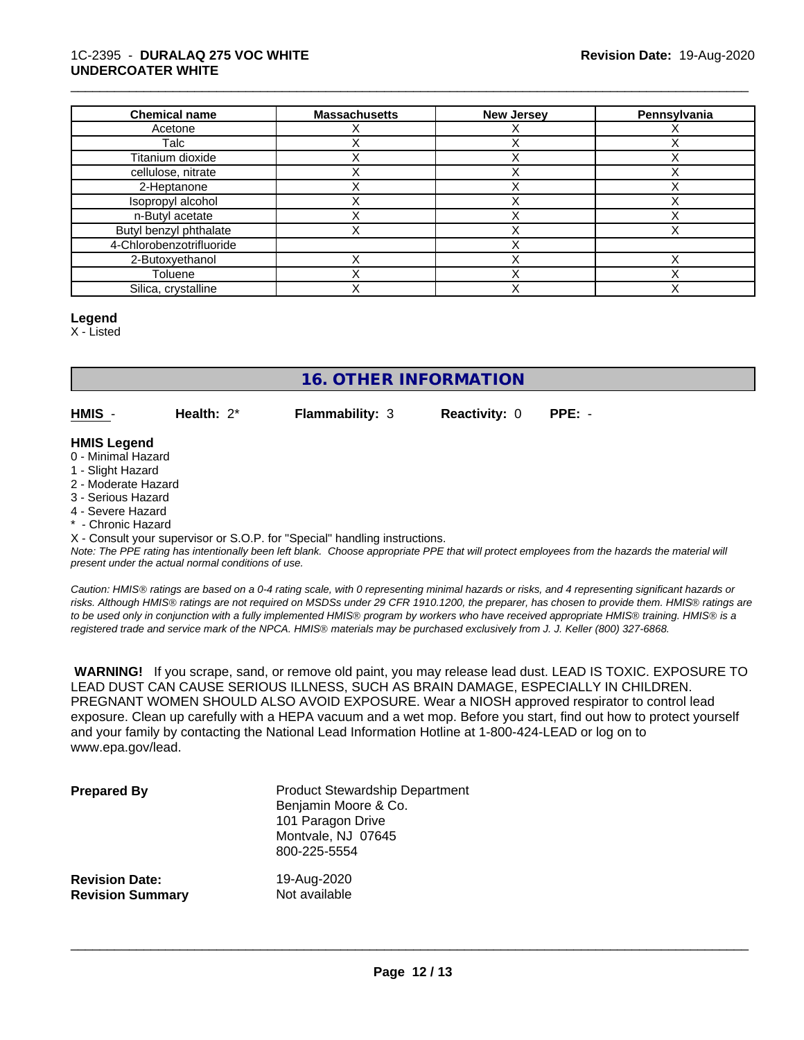### 1C-2395 - **DURALAQ 275 VOC WHITE UNDERCOATER WHITE**

| <b>Chemical name</b>     | <b>Massachusetts</b> | <b>New Jersey</b> | Pennsylvania |
|--------------------------|----------------------|-------------------|--------------|
| Acetone                  |                      |                   |              |
| Talc                     |                      |                   |              |
| Titanium dioxide         |                      |                   |              |
| cellulose, nitrate       |                      |                   |              |
| 2-Heptanone              |                      |                   |              |
| Isopropyl alcohol        |                      |                   |              |
| n-Butyl acetate          |                      |                   |              |
| Butyl benzyl phthalate   |                      |                   |              |
| 4-Chlorobenzotrifluoride |                      |                   |              |
| 2-Butoxyethanol          |                      |                   |              |
| Toluene                  |                      |                   |              |
| Silica, crystalline      |                      |                   |              |

#### **Legend**

X - Listed

# **16. OTHER INFORMATION**

**HMIS** - **Health:** 2\* **Flammability:** 3 **Reactivity:** 0 **PPE:** -

\_\_\_\_\_\_\_\_\_\_\_\_\_\_\_\_\_\_\_\_\_\_\_\_\_\_\_\_\_\_\_\_\_\_\_\_\_\_\_\_\_\_\_\_\_\_\_\_\_\_\_\_\_\_\_\_\_\_\_\_\_\_\_\_\_\_\_\_\_\_\_\_\_\_\_\_\_\_\_\_\_\_\_\_\_\_\_\_\_\_\_\_\_

# **HMIS Legend**

- 0 Minimal Hazard
- 1 Slight Hazard
- 2 Moderate Hazard
- 3 Serious Hazard
- 4 Severe Hazard
- \* Chronic Hazard

X - Consult your supervisor or S.O.P. for "Special" handling instructions.

*Note: The PPE rating has intentionally been left blank. Choose appropriate PPE that will protect employees from the hazards the material will present under the actual normal conditions of use.*

*Caution: HMISÒ ratings are based on a 0-4 rating scale, with 0 representing minimal hazards or risks, and 4 representing significant hazards or risks. Although HMISÒ ratings are not required on MSDSs under 29 CFR 1910.1200, the preparer, has chosen to provide them. HMISÒ ratings are to be used only in conjunction with a fully implemented HMISÒ program by workers who have received appropriate HMISÒ training. HMISÒ is a registered trade and service mark of the NPCA. HMISÒ materials may be purchased exclusively from J. J. Keller (800) 327-6868.*

 **WARNING!** If you scrape, sand, or remove old paint, you may release lead dust. LEAD IS TOXIC. EXPOSURE TO LEAD DUST CAN CAUSE SERIOUS ILLNESS, SUCH AS BRAIN DAMAGE, ESPECIALLY IN CHILDREN. PREGNANT WOMEN SHOULD ALSO AVOID EXPOSURE.Wear a NIOSH approved respirator to control lead exposure. Clean up carefully with a HEPA vacuum and a wet mop. Before you start, find out how to protect yourself and your family by contacting the National Lead Information Hotline at 1-800-424-LEAD or log on to www.epa.gov/lead.

| <b>Prepared By</b>      | <b>Product Stewardship Department</b><br>Benjamin Moore & Co.<br>101 Paragon Drive<br>Montvale, NJ 07645<br>800-225-5554 |
|-------------------------|--------------------------------------------------------------------------------------------------------------------------|
| <b>Revision Date:</b>   | 19-Aug-2020                                                                                                              |
| <b>Revision Summary</b> | Not available                                                                                                            |